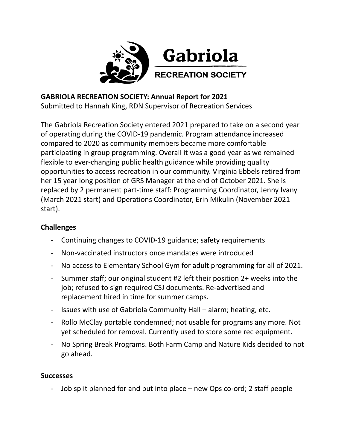

# **GABRIOLA RECREATION SOCIETY: Annual Report for 2021**

Submitted to Hannah King, RDN Supervisor of Recreation Services

The Gabriola Recreation Society entered 2021 prepared to take on a second year of operating during the COVID-19 pandemic. Program attendance increased compared to 2020 as community members became more comfortable participating in group programming. Overall it was a good year as we remained flexible to ever-changing public health guidance while providing quality opportunities to access recreation in our community. Virginia Ebbels retired from her 15 year long position of GRS Manager at the end of October 2021. She is replaced by 2 permanent part-time staff: Programming Coordinator, Jenny Ivany (March 2021 start) and Operations Coordinator, Erin Mikulin (November 2021 start).

## **Challenges**

- Continuing changes to COVID-19 guidance; safety requirements
- Non-vaccinated instructors once mandates were introduced
- No access to Elementary School Gym for adult programming for all of 2021.
- Summer staff; our original student #2 left their position 2+ weeks into the job; refused to sign required CSJ documents. Re-advertised and replacement hired in time for summer camps.
- Issues with use of Gabriola Community Hall alarm; heating, etc.
- Rollo McClay portable condemned; not usable for programs any more. Not yet scheduled for removal. Currently used to store some rec equipment.
- No Spring Break Programs. Both Farm Camp and Nature Kids decided to not go ahead.

## **Successes**

- Job split planned for and put into place – new Ops co-ord; 2 staff people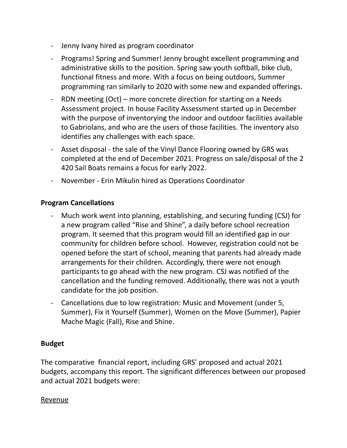- Jenny Ivany hired as program coordinator
- Programs! Spring and Summer! Jenny brought excellent programming and administrative skills to the position. Spring saw youth softball, bike club, functional fitness and more. With a focus on being outdoors, Summer programming ran similarly to 2020 with some new and expanded offerings.
- RDN meeting (Oct) more concrete direction for starting on a Needs Assessment project. In house Facility Assessment started up in December with the purpose of inventorying the indoor and outdoor facilities available to Gabriolans, and who are the users of those facilities. The inventory also identifies any challenges with each space.
- Asset disposal the sale of the Vinyl Dance Flooring owned by GRS was completed at the end of December 2021. Progress on sale/disposal of the 2 420 Sail Boats remains a focus for early 2022.
- November Erin Mikulin hired as Operations Coordinator

### **Program Cancellations**

- Much work went into planning, establishing, and securing funding (CSJ) for a new program called "Rise and Shine", a daily before school recreation program. It seemed that this program would fill an identified gap in our community for children before school. However, registration could not be opened before the start of school, meaning that parents had already made arrangements for their children. Accordingly, there were not enough participants to go ahead with the new program. CSJ was notified of the cancellation and the funding removed. Additionally, there was not a youth candidate for the job position.
- Cancellations due to low registration: Music and Movement (under 5, Summer), Fix it Yourself (Summer), Women on the Move (Summer), Papier Mache Magic (Fall), Rise and Shine.

#### **Budget**

The comparative financial report, including GRS' proposed and actual 2021 budgets, accompany this report. The significant differences between our proposed and actual 2021 budgets were:

#### Revenue